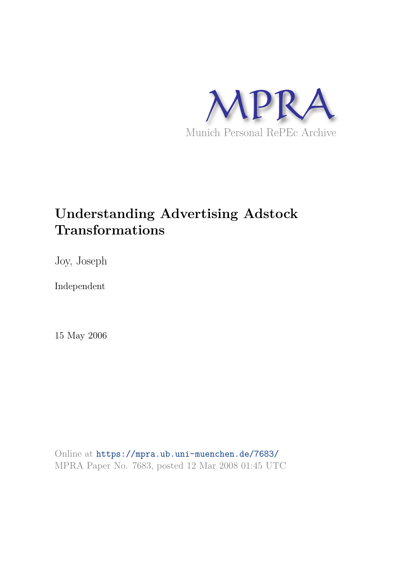

# **Understanding Advertising Adstock Transformations**

Joy, Joseph

Independent

15 May 2006

Online at https://mpra.ub.uni-muenchen.de/7683/ MPRA Paper No. 7683, posted 12 Mar 2008 01:45 UTC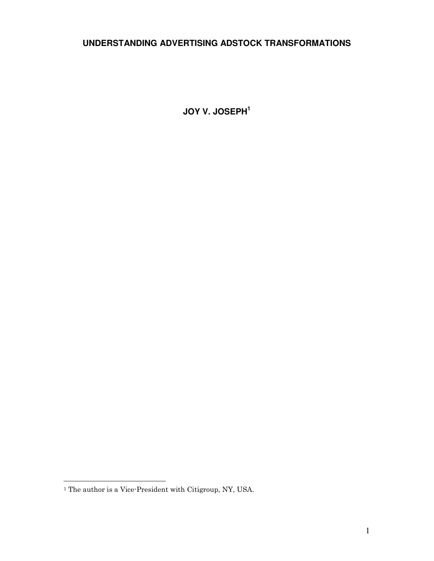# **UNDERSTANDING ADVERTISING ADSTOCK TRANSFORMATIONS**

**JOY V. JOSEPH<sup>1</sup>**

l.

<sup>&</sup>lt;sup>1</sup> The author is a Vice-President with Citigroup, NY, USA.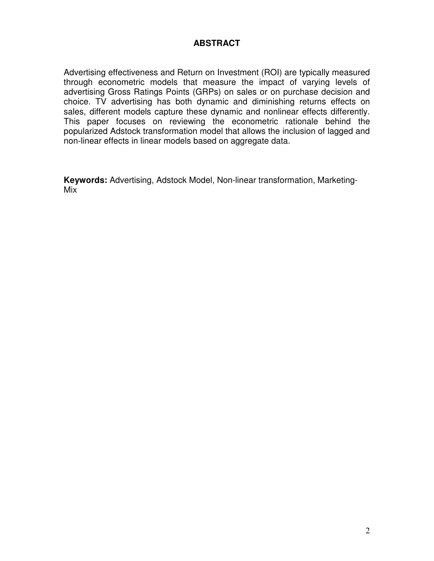## **ABSTRACT**

Advertising effectiveness and Return on Investment (ROI) are typically measured through econometric models that measure the impact of varying levels of advertising Gross Ratings Points (GRPs) on sales or on purchase decision and choice. TV advertising has both dynamic and diminishing returns effects on sales, different models capture these dynamic and nonlinear effects differently. This paper focuses on reviewing the econometric rationale behind the popularized Adstock transformation model that allows the inclusion of lagged and non-linear effects in linear models based on aggregate data.

**Keywords:** Advertising, Adstock Model, Non-linear transformation, Marketing-Mix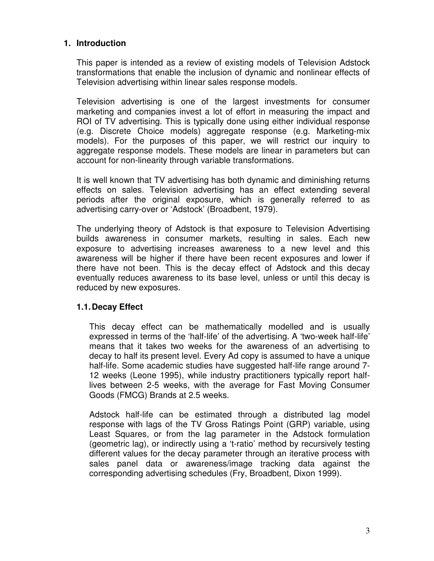## **1. Introduction**

This paper is intended as a review of existing models of Television Adstock transformations that enable the inclusion of dynamic and nonlinear effects of Television advertising within linear sales response models.

Television advertising is one of the largest investments for consumer marketing and companies invest a lot of effort in measuring the impact and ROI of TV advertising. This is typically done using either individual response (e.g. Discrete Choice models) aggregate response (e.g. Marketing-mix models). For the purposes of this paper, we will restrict our inquiry to aggregate response models. These models are linear in parameters but can account for non-linearity through variable transformations.

It is well known that TV advertising has both dynamic and diminishing returns effects on sales. Television advertising has an effect extending several periods after the original exposure, which is generally referred to as advertising carry-over or 'Adstock' (Broadbent, 1979).

The underlying theory of Adstock is that exposure to Television Advertising builds awareness in consumer markets, resulting in sales. Each new exposure to advertising increases awareness to a new level and this awareness will be higher if there have been recent exposures and lower if there have not been. This is the decay effect of Adstock and this decay eventually reduces awareness to its base level, unless or until this decay is reduced by new exposures.

### **1.1. Decay Effect**

This decay effect can be mathematically modelled and is usually expressed in terms of the 'half-life' of the advertising. A 'two-week half-life' means that it takes two weeks for the awareness of an advertising to decay to half its present level. Every Ad copy is assumed to have a unique half-life. Some academic studies have suggested half-life range around 7- 12 weeks (Leone 1995), while industry practitioners typically report halflives between 2-5 weeks, with the average for Fast Moving Consumer Goods (FMCG) Brands at 2.5 weeks.

Adstock half-life can be estimated through a distributed lag model response with lags of the TV Gross Ratings Point (GRP) variable, using Least Squares, or from the lag parameter in the Adstock formulation (geometric lag), or indirectly using a 't-ratio' method by recursively testing different values for the decay parameter through an iterative process with sales panel data or awareness/image tracking data against the corresponding advertising schedules (Fry, Broadbent, Dixon 1999).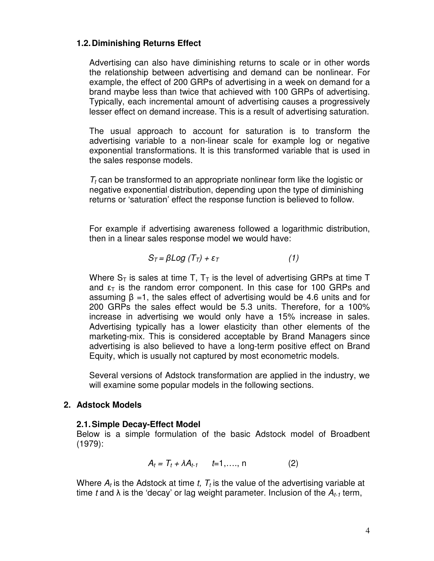## **1.2. Diminishing Returns Effect**

Advertising can also have diminishing returns to scale or in other words the relationship between advertising and demand can be nonlinear. For example, the effect of 200 GRPs of advertising in a week on demand for a brand maybe less than twice that achieved with 100 GRPs of advertising. Typically, each incremental amount of advertising causes a progressively lesser effect on demand increase. This is a result of advertising saturation.

The usual approach to account for saturation is to transform the advertising variable to a non-linear scale for example log or negative exponential transformations. It is this transformed variable that is used in the sales response models.

 $T_t$  can be transformed to an appropriate nonlinear form like the logistic or negative exponential distribution, depending upon the type of diminishing returns or 'saturation' effect the response function is believed to follow.

For example if advertising awareness followed a logarithmic distribution, then in a linear sales response model we would have:

$$
S_T = \beta Log (T_T) + \varepsilon_T \tag{1}
$$

Where  $S_T$  is sales at time T,  $T_T$  is the level of advertising GRPs at time T and  $\epsilon_{\text{T}}$  is the random error component. In this case for 100 GRPs and assuming  $\beta$  =1, the sales effect of advertising would be 4.6 units and for 200 GRPs the sales effect would be 5.3 units. Therefore, for a 100% increase in advertising we would only have a 15% increase in sales. Advertising typically has a lower elasticity than other elements of the marketing-mix. This is considered acceptable by Brand Managers since advertising is also believed to have a long-term positive effect on Brand Equity, which is usually not captured by most econometric models.

Several versions of Adstock transformation are applied in the industry, we will examine some popular models in the following sections.

### **2. Adstock Models**

### **2.1. Simple Decay-Effect Model**

Below is a simple formulation of the basic Adstock model of Broadbent (1979):

$$
A_t = T_t + \lambda A_{t-1} \qquad t=1,\ldots,n \tag{2}
$$

Where  $A_t$  is the Adstock at time t,  $T_t$  is the value of the advertising variable at time t and  $\lambda$  is the 'decay' or lag weight parameter. Inclusion of the  $A_{t-1}$  term,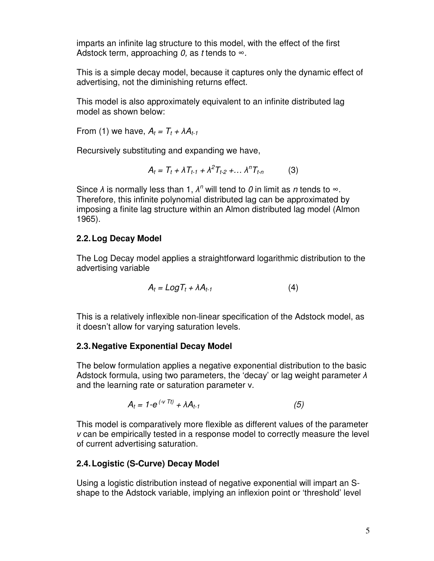imparts an infinite lag structure to this model, with the effect of the first Adstock term, approaching  $0$ , as t tends to  $\infty$ .

This is a simple decay model, because it captures only the dynamic effect of advertising, not the diminishing returns effect.

This model is also approximately equivalent to an infinite distributed lag model as shown below:

From (1) we have,  $A_t = T_t + \lambda A_{t-1}$ 

Recursively substituting and expanding we have,

$$
A_t = T_t + \lambda T_{t-1} + \lambda^2 T_{t-2} + ... \lambda^n T_{t-n}
$$
 (3)

Since  $\lambda$  is normally less than 1,  $\lambda^n$  will tend to 0 in limit as n tends to  $\infty$ . Therefore, this infinite polynomial distributed lag can be approximated by imposing a finite lag structure within an Almon distributed lag model (Almon 1965).

# **2.2. Log Decay Model**

The Log Decay model applies a straightforward logarithmic distribution to the advertising variable

$$
A_t = Log T_t + \lambda A_{t-1}
$$
 (4)

This is a relatively inflexible non-linear specification of the Adstock model, as it doesn't allow for varying saturation levels.

# **2.3. Negative Exponential Decay Model**

The below formulation applies a negative exponential distribution to the basic Adstock formula, using two parameters, the 'decay' or lag weight parameter  $\lambda$ and the learning rate or saturation parameter v.

$$
A_t = 1-e^{(\mathcal{N}Tt)} + \lambda A_{t-1}
$$
 (5)

This model is comparatively more flexible as different values of the parameter can be empirically tested in a response model to correctly measure the level of current advertising saturation.

# **2.4. Logistic (S-Curve) Decay Model**

Using a logistic distribution instead of negative exponential will impart an Sshape to the Adstock variable, implying an inflexion point or 'threshold' level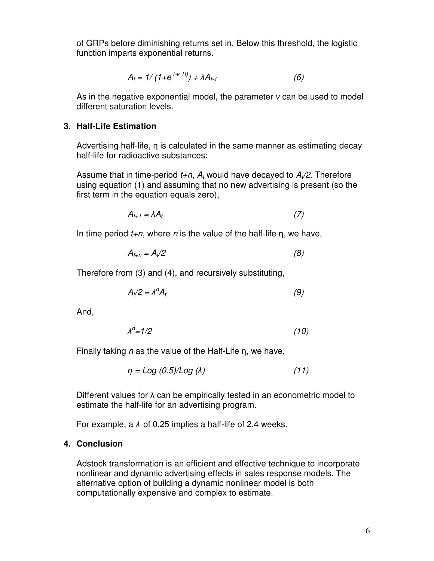of GRPs before diminishing returns set in. Below this threshold, the logistic function imparts exponential returns.

$$
A_t = 1/(1 + e^{(\nu Tt)}) + \lambda A_{t-1}
$$
 (6)

As in the negative exponential model, the parameter  $\nu$  can be used to model different saturation levels.

#### **3. Half-Life Estimation**

Advertising half-life,  $\eta$  is calculated in the same manner as estimating decay half-life for radioactive substances:

Assume that in time-period  $t+n$ ,  $A_t$  would have decayed to  $A_t/2$ . Therefore using equation (1) and assuming that no new advertising is present (so the first term in the equation equals zero),

$$
A_{t+1} = \lambda A_t \tag{7}
$$

In time period  $t+n$ , where n is the value of the half-life  $\eta$ , we have,

$$
A_{t+n} = A_t/2 \tag{8}
$$

Therefore from (3) and (4), and recursively substituting,

$$
A_t/2 = \lambda^n A_t \tag{9}
$$

And,

$$
\lambda^n = 1/2 \tag{10}
$$

Finally taking  $n$  as the value of the Half-Life  $n$ , we have,

$$
\eta = Log (0.5)/Log (\lambda) \tag{11}
$$

Different values for  $\lambda$  can be empirically tested in an econometric model to estimate the half-life for an advertising program.

For example, a  $\lambda$  of 0.25 implies a half-life of 2.4 weeks.

#### **4. Conclusion**

Adstock transformation is an efficient and effective technique to incorporate nonlinear and dynamic advertising effects in sales response models. The alternative option of building a dynamic nonlinear model is both computationally expensive and complex to estimate.